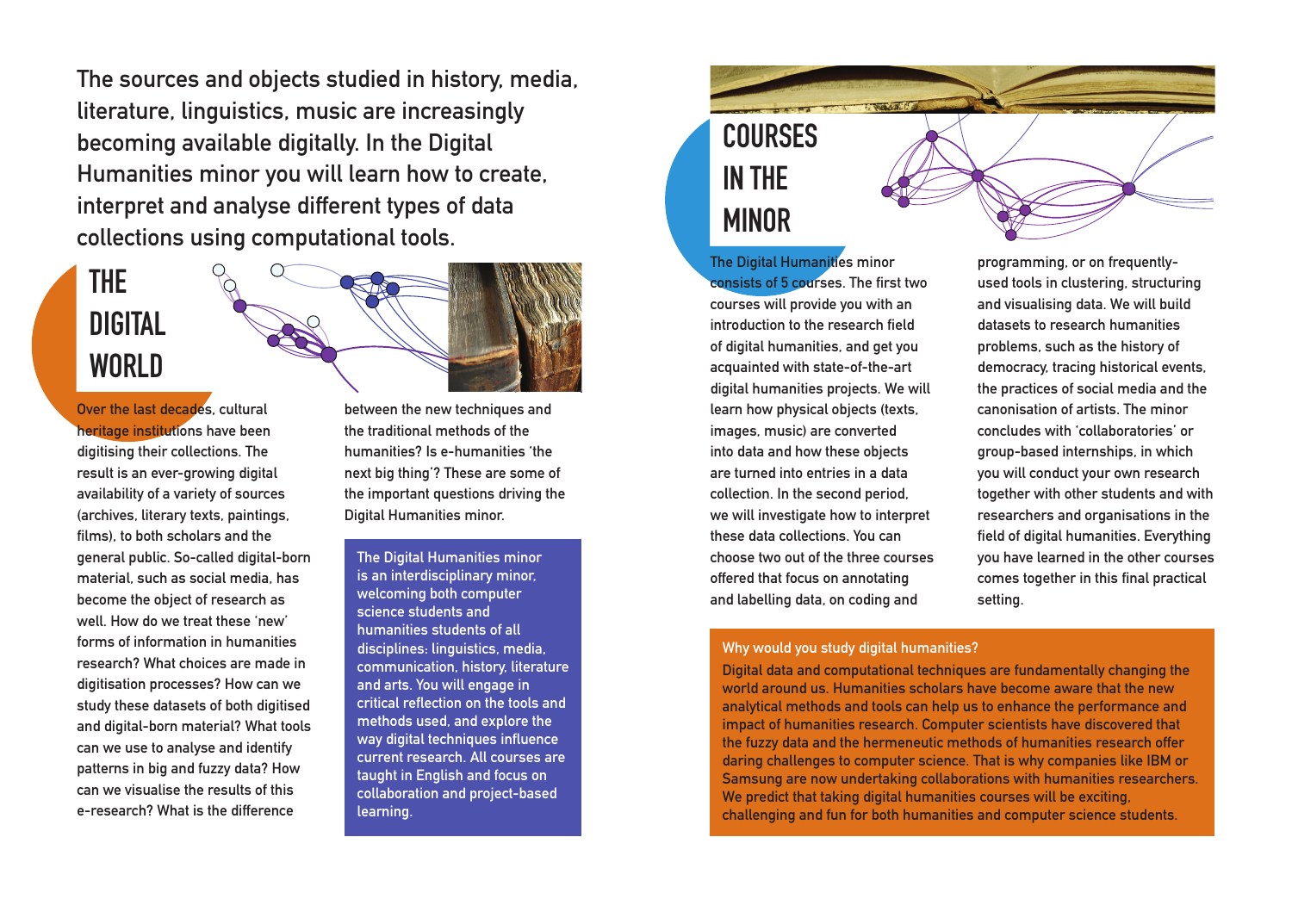The sources and objects studied in history, media, literature, linguistics, music are increasingly becoming available digitally. In the Digital Humanities minor you will learn how to create, interpret and analyse different types of data collections using computational tools.

## THE DIGITAL **WORLD**

Over the last decades, cultural heritage institutions have been digitising their collections. The result is an ever-growing digital availability of a variety of sources (archives, literary texts, paintings, films), to both scholars and the general public. So-called digital-born material, such as social media, has become the object of research as well. How do we treat these 'new' forms of information in humanities research? What choices are made in digitisation processes? How can we study these datasets of both digitised and digital-born material? What tools can we use to analyse and identify patterns in big and fuzzy data? How can we visualise the results of this e-research? What is the difference

between the new techniques and the traditional methods of the humanities? Is e-humanities 'the next big thing'? These are some of the important questions driving the Digital Humanities minor.

The Digital Humanities minor is an interdisciplinary minor, welcoming both computer science students and humanities students of all disciplines: linguistics, media, communication, history, literature and arts. You will engage in critical reflection on the tools and methods used, and explore the way digital techniques influence current research. All courses are taught in English and focus on collaboration and project-based learning.

# **COURSES** IN THE MINOR

The Digital Humanities minor consists of 5 courses. The first two courses will provide you with an introduction to the research field of digital humanities, and get you acquainted with state-of-the-art digital humanities projects. We will learn how physical objects (texts, images, music) are converted into data and how these objects are turned into entries in a data collection. In the second period, we will investigate how to interpret these data collections. You can choose two out of the three courses offered that focus on annotating and labelling data, on coding and

programming, or on frequentlyused tools in clustering, structuring and visualising data. We will build datasets to research humanities problems, such as the history of democracy, tracing historical events, the practices of social media and the canonisation of artists. The minor concludes with 'collaboratories' or group-based internships, in which you will conduct your own research together with other students and with researchers and organisations in the field of digital humanities. Everything you have learned in the other courses comes together in this final practical setting.

#### Why would you study digital humanities?

Digital data and computational techniques are fundamentally changing the world around us. Humanities scholars have become aware that the new analytical methods and tools can help us to enhance the performance and impact of humanities research. Computer scientists have discovered that the fuzzy data and the hermeneutic methods of humanities research offer daring challenges to computer science. That is why companies like IBM or Samsung are now undertaking collaborations with humanities researchers. We predict that taking digital humanities courses will be exciting, challenging and fun for both humanities and computer science students.